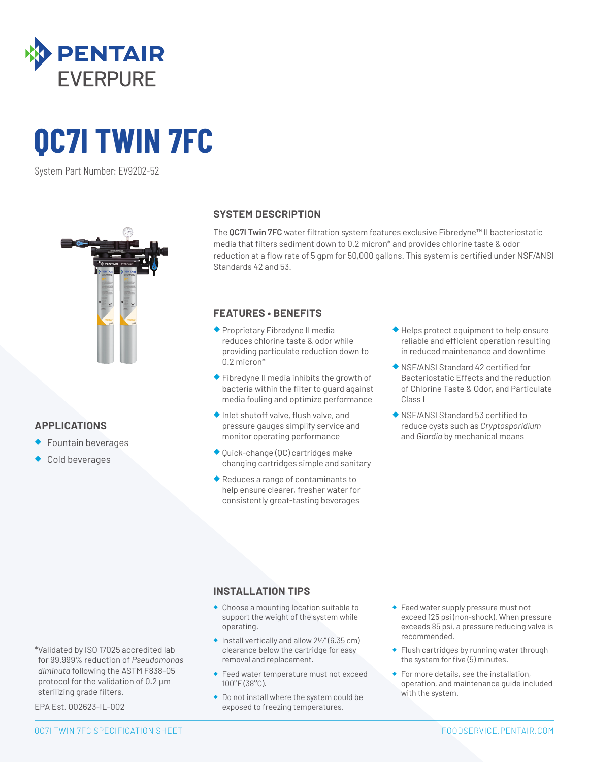

# **QC7I TWIN 7FC**

System Part Number: EV9202-52



# **APPLICATIONS**

- ◆ Fountain beverages
- Cold beverages

# **SYSTEM DESCRIPTION**

The **QC7I Twin 7FC** water filtration system features exclusive Fibredyne™ II bacteriostatic media that filters sediment down to 0.2 micron\* and provides chlorine taste & odor reduction at a flow rate of 5 gpm for 50,000 gallons. This system is certified under NSF/ANSI Standards 42 and 53.

# **FEATURES • BENEFITS**

- ◆ Proprietary Fibredyne II media reduces chlorine taste & odor while providing particulate reduction down to 0.2 micron\*
- ◆ Fibredyne II media inhibits the growth of bacteria within the filter to guard against media fouling and optimize performance
- ◆ Inlet shutoff valve, flush valve, and pressure gauges simplify service and monitor operating performance
- ◆ Quick-change (QC) cartridges make changing cartridges simple and sanitary
- ◆ Reduces a range of contaminants to help ensure clearer, fresher water for consistently great-tasting beverages
- ◆ Helps protect equipment to help ensure reliable and efficient operation resulting in reduced maintenance and downtime
- ◆ NSF/ANSI Standard 42 certified for Bacteriostatic Effects and the reduction of Chlorine Taste & Odor, and Particulate Class I
- ◆ NSF/ANSI Standard 53 certified to reduce cysts such as *Cryptosporidium*  and *Giardia* by mechanical means

# **INSTALLATION TIPS**

- ◆ Choose a mounting location suitable to support the weight of the system while operating.
- $\bullet$  Install vertically and allow  $2\frac{1}{2}$ " (6.35 cm) clearance below the cartridge for easy removal and replacement.
- ◆ Feed water temperature must not exceed 100°F (38°C).
- ◆ Do not install where the system could be exposed to freezing temperatures.
- ◆ Feed water supply pressure must not exceed 125 psi (non-shock). When pressure exceeds 85 psi, a pressure reducing valve is recommended.
- ◆ Flush cartridges by running water through the system for five (5) minutes.
- ◆ For more details, see the installation, operation, and maintenance guide included with the system.

sterilizing grade filters. EPA Est. 002623-IL-002

### QC7I TWIN 7FC SPECIFICATION SHEET **FOODSERVICE.[PENTAIR.COM](http://pentair.com)**

\*Validated by ISO 17025 accredited lab for 99.999% reduction of *Pseudomonas diminuta* following the ASTM F838-05 protocol for the validation of 0.2 µm